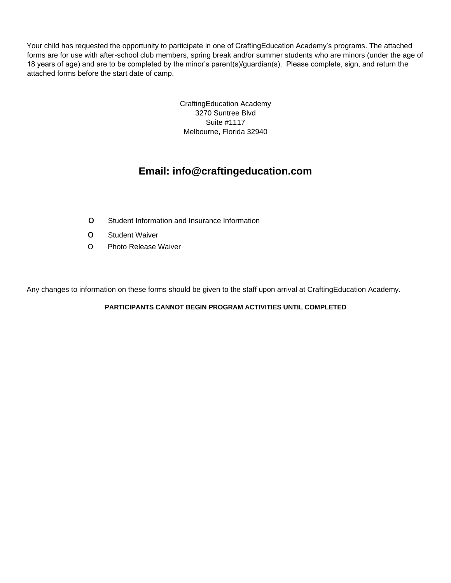Your child has requested the opportunity to participate in one of CraftingEducation Academy's programs. The attached forms are for use with after-school club members, spring break and/or summer students who are minors (under the age of 18 years of age) and are to be completed by the minor's parent(s)/guardian(s). Please complete, sign, and return the attached forms before the start date of camp.

> CraftingEducation Academy 3270 Suntree Blvd Suite #1117 Melbourne, Florida 32940

## **Email: info@craftingeducation.com**

- ο Student Information and Insurance Information
- ο Student Waiver
- O Photo Release Waiver

Any changes to information on these forms should be given to the staff upon arrival at CraftingEducation Academy.

**PARTICIPANTS CANNOT BEGIN PROGRAM ACTIVITIES UNTIL COMPLETED**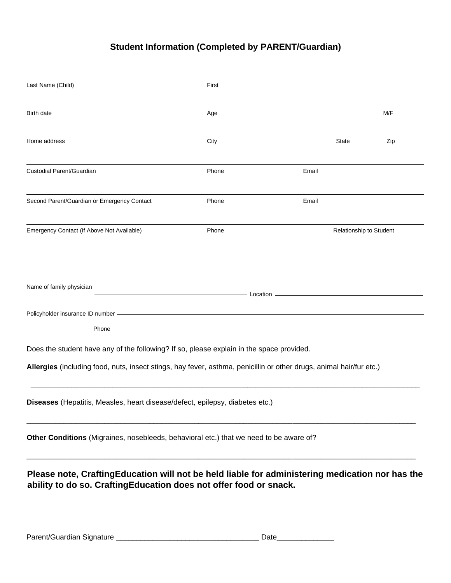## **Student Information (Completed by PARENT/Guardian)**

| Last Name (Child)                                                                                                                                                    | First                                                                                                                         |              |                         |
|----------------------------------------------------------------------------------------------------------------------------------------------------------------------|-------------------------------------------------------------------------------------------------------------------------------|--------------|-------------------------|
| Birth date                                                                                                                                                           | Age                                                                                                                           |              | M/F                     |
| Home address                                                                                                                                                         | City                                                                                                                          | <b>State</b> | Zip                     |
| Custodial Parent/Guardian                                                                                                                                            | Phone                                                                                                                         | Email        |                         |
| Second Parent/Guardian or Emergency Contact                                                                                                                          | Phone                                                                                                                         | Email        |                         |
| Emergency Contact (If Above Not Available)                                                                                                                           | Phone                                                                                                                         |              | Relationship to Student |
| Name of family physician                                                                                                                                             | <u>Example 2001</u> Location <b>Container Container Container Container Container Container Container Container Container</b> |              |                         |
| Phone                                                                                                                                                                |                                                                                                                               |              |                         |
| Does the student have any of the following? If so, please explain in the space provided.                                                                             |                                                                                                                               |              |                         |
| Allergies (including food, nuts, insect stings, hay fever, asthma, penicillin or other drugs, animal hair/fur etc.)                                                  |                                                                                                                               |              |                         |
| Diseases (Hepatitis, Measles, heart disease/defect, epilepsy, diabetes etc.)                                                                                         |                                                                                                                               |              |                         |
| Other Conditions (Migraines, nosebleeds, behavioral etc.) that we need to be aware of?                                                                               |                                                                                                                               |              |                         |
| Please note, CraftingEducation will not be held liable for administering medication nor has the<br>ability to do so. CraftingEducation does not offer food or snack. |                                                                                                                               |              |                         |
|                                                                                                                                                                      |                                                                                                                               |              |                         |